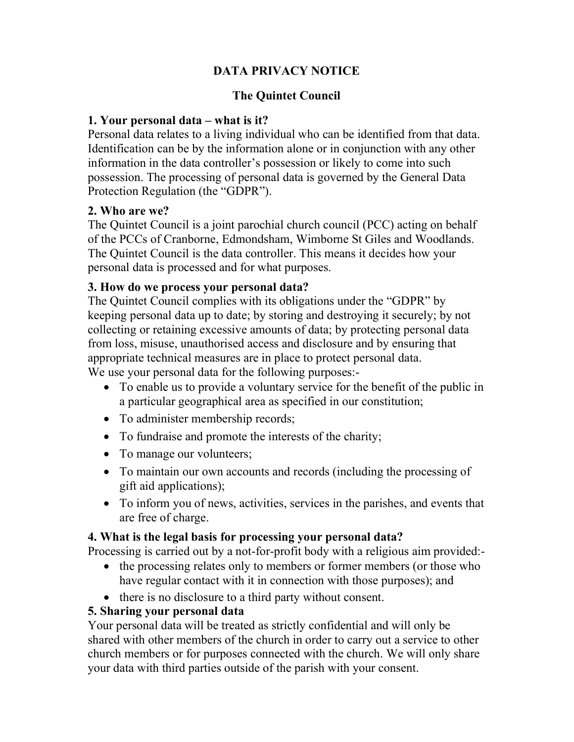# DATA PRIVACY NOTICE

### The Quintet Council

### 1. Your personal data – what is it?

Personal data relates to a living individual who can be identified from that data. Identification can be by the information alone or in conjunction with any other information in the data controller's possession or likely to come into such possession. The processing of personal data is governed by the General Data Protection Regulation (the "GDPR").

#### 2. Who are we?

The Quintet Council is a joint parochial church council (PCC) acting on behalf of the PCCs of Cranborne, Edmondsham, Wimborne St Giles and Woodlands. The Quintet Council is the data controller. This means it decides how your personal data is processed and for what purposes.

#### 3. How do we process your personal data?

The Quintet Council complies with its obligations under the "GDPR" by keeping personal data up to date; by storing and destroying it securely; by not collecting or retaining excessive amounts of data; by protecting personal data from loss, misuse, unauthorised access and disclosure and by ensuring that appropriate technical measures are in place to protect personal data. We use your personal data for the following purposes:-

- To enable us to provide a voluntary service for the benefit of the public in a particular geographical area as specified in our constitution;
- To administer membership records;
- To fundraise and promote the interests of the charity;
- To manage our volunteers;
- To maintain our own accounts and records (including the processing of gift aid applications);
- To inform you of news, activities, services in the parishes, and events that are free of charge.

#### 4. What is the legal basis for processing your personal data?

Processing is carried out by a not-for-profit body with a religious aim provided:-

- the processing relates only to members or former members (or those who have regular contact with it in connection with those purposes); and
- there is no disclosure to a third party without consent.

#### 5. Sharing your personal data

Your personal data will be treated as strictly confidential and will only be shared with other members of the church in order to carry out a service to other church members or for purposes connected with the church. We will only share your data with third parties outside of the parish with your consent.